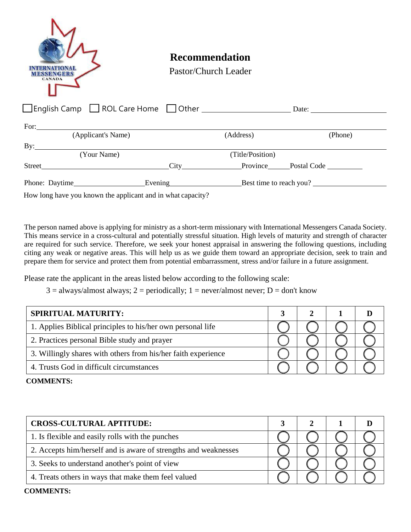| <b>CANADA</b>                                                                                                                                                                                                                 | <b>Recommendation</b><br>Pastor/Church Leader |         |
|-------------------------------------------------------------------------------------------------------------------------------------------------------------------------------------------------------------------------------|-----------------------------------------------|---------|
| □English Camp ■ ROL Care Home ■ Other ■ ■ Date: ■ Date: ■ Date: ■ Date: ■ Date: ■ Date: ■ Date: ■ Date: ■ Date: ■ Date: ■ Date: ■ Date: ■ Date: ■ Date: ■ Date: ■ Date: ■ Date: ■ Date: ■ Date: ■ Date: ■ Date: ■ Date: ■ Dat |                                               |         |
|                                                                                                                                                                                                                               |                                               |         |
| (Applicant's Name)                                                                                                                                                                                                            | (Address)                                     | (Phone) |
| $\mathbf{By:}$                                                                                                                                                                                                                |                                               |         |
| (Your Name)                                                                                                                                                                                                                   | (Title/Position)                              |         |
|                                                                                                                                                                                                                               |                                               |         |
| Phone: Daytime Evening Evening Best time to reach you?                                                                                                                                                                        |                                               |         |
| How long have you known the applicant and in what capacity?                                                                                                                                                                   |                                               |         |

The person named above is applying for ministry as a short-term missionary with International Messengers Canada Society. This means service in a cross-cultural and potentially stressful situation. High levels of maturity and strength of character are required for such service. Therefore, we seek your honest appraisal in answering the following questions, including citing any weak or negative areas. This will help us as we guide them toward an appropriate decision, seek to train and prepare them for service and protect them from potential embarrassment, stress and/or failure in a future assignment.

Please rate the applicant in the areas listed below according to the following scale:

 $3 =$  always/almost always;  $2 =$  periodically;  $1 =$  never/almost never;  $D =$  don't know

| <b>SPIRITUAL MATURITY:</b>                                    |  |  |
|---------------------------------------------------------------|--|--|
| 1. Applies Biblical principles to his/her own personal life   |  |  |
| 2. Practices personal Bible study and prayer                  |  |  |
| 3. Willingly shares with others from his/her faith experience |  |  |
| 4. Trusts God in difficult circumstances                      |  |  |

**COMMENTS:**

| <b>CROSS-CULTURAL APTITUDE:</b>                                 |  |  |  |
|-----------------------------------------------------------------|--|--|--|
| 1. Is flexible and easily rolls with the punches                |  |  |  |
| 2. Accepts him/herself and is aware of strengths and weaknesses |  |  |  |
| 3. Seeks to understand another's point of view                  |  |  |  |
| 4. Treats others in ways that make them feel valued             |  |  |  |

## **COMMENTS:**